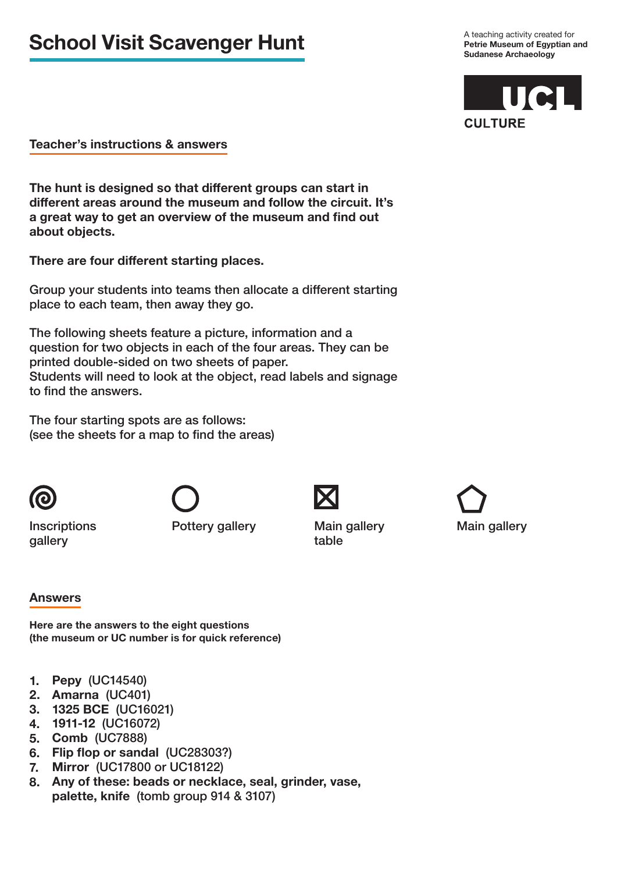# **School Visit Scavenger Hunt**

A teaching activity created for **Petrie Museum of Egyptian and Sudanese Archaeology**



### **Teacher's instructions & answers**

**The hunt is designed so that different groups can start in different areas around the museum and follow the circuit. It's a great way to get an overview of the museum and find out about objects.**

**There are four different starting places.** 

Group your students into teams then allocate a different starting place to each team, then away they go.

The following sheets feature a picture, information and a question for two objects in each of the four areas. They can be printed double-sided on two sheets of paper. Students will need to look at the object, read labels and signage to find the answers.

The four starting spots are as follows: (see the sheets for a map to find the areas)



table

**Inscriptions** gallery

Pottery gallery Main gallery



## **Answers**

**Here are the answers to the eight questions (the museum or UC number is for quick reference)**

- **1. Pepy** (UC14540)
- **2. Amarna** (UC401)
- **3. 1325 BCE** (UC16021)
- **4. 1911-12** (UC16072)
- **5. Comb** (UC7888)
- **6. Flip flop or sandal** (UC28303?)
- **7. Mirror** (UC17800 or UC18122)
- **8. Any of these: beads or necklace, seal, grinder, vase, palette, knife** (tomb group 914 & 3107)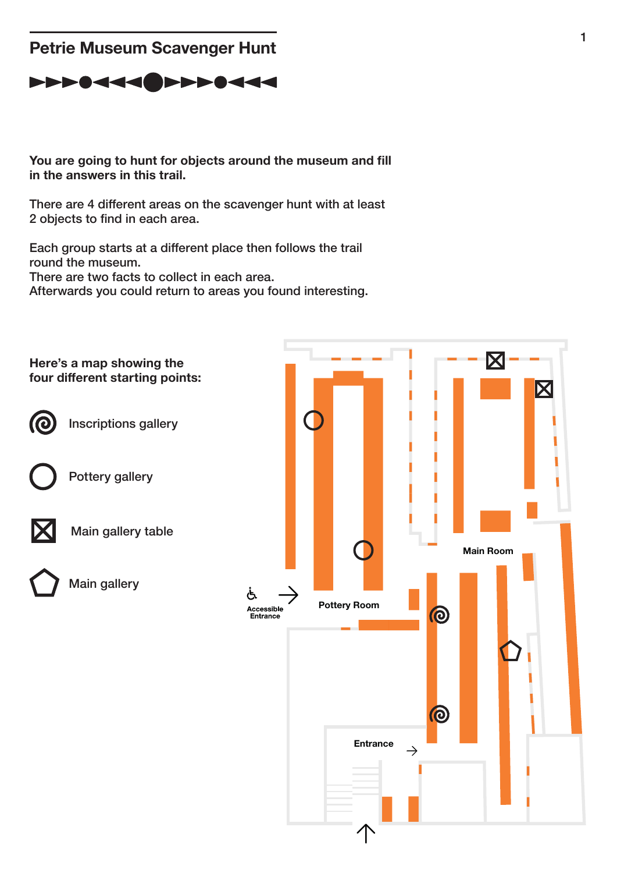# **Petrie Museum Scavenger Hunt**

# PPP0444 PPP0444

**You are going to hunt for objects around the museum and fill in the answers in this trail.** 

There are 4 different areas on the scavenger hunt with at least 2 objects to find in each area.

Each group starts at a different place then follows the trail round the museum. There are two facts to collect in each area.

Afterwards you could return to areas you found interesting.

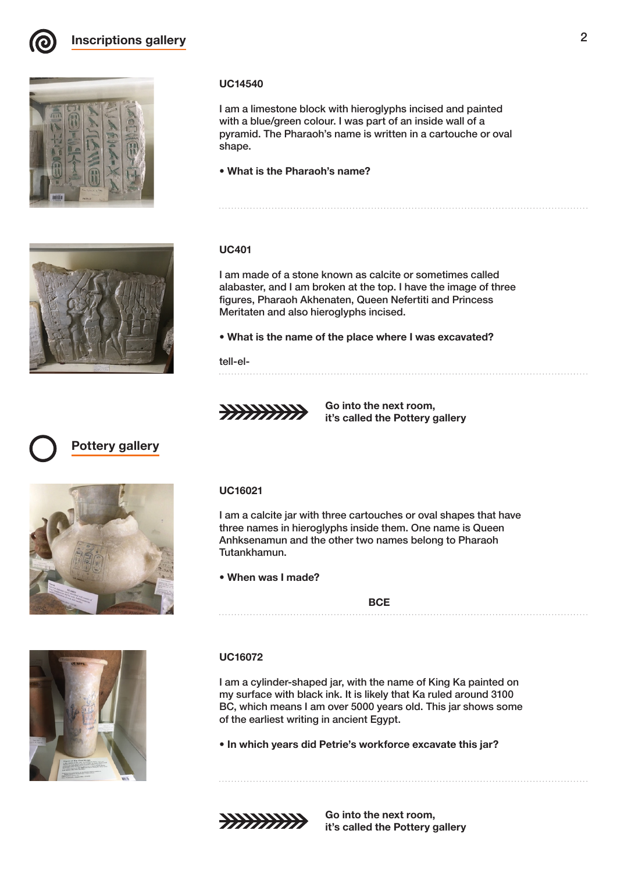





### **UC14540**

I am a limestone block with hieroglyphs incised and painted with a blue/green colour. I was part of an inside wall of a pyramid. The Pharaoh's name is written in a cartouche or oval shape.

• **What is the Pharaoh's name?** 

#### **UC401**

I am made of a stone known as calcite or sometimes called alabaster, and I am broken at the top. I have the image of three figures, Pharaoh Akhenaten, Queen Nefertiti and Princess Meritaten and also hieroglyphs incised.

• **What is the name of the place where I was excavated?**

#### tell-el-



**Go into the next room, it's called the Pottery gallery**







#### **UC16021**

I am a calcite jar with three cartouches or oval shapes that have three names in hieroglyphs inside them. One name is Queen Anhksenamun and the other two names belong to Pharaoh Tutankhamun.

#### • **When was I made?**

**BCE**

#### **UC16072**

I am a cylinder-shaped jar, with the name of King Ka painted on my surface with black ink. It is likely that Ka ruled around 3100 BC, which means I am over 5000 years old. This jar shows some of the earliest writing in ancient Egypt.

• **In which years did Petrie's workforce excavate this jar?**





**Go into the next room, it's called the Pottery gallery**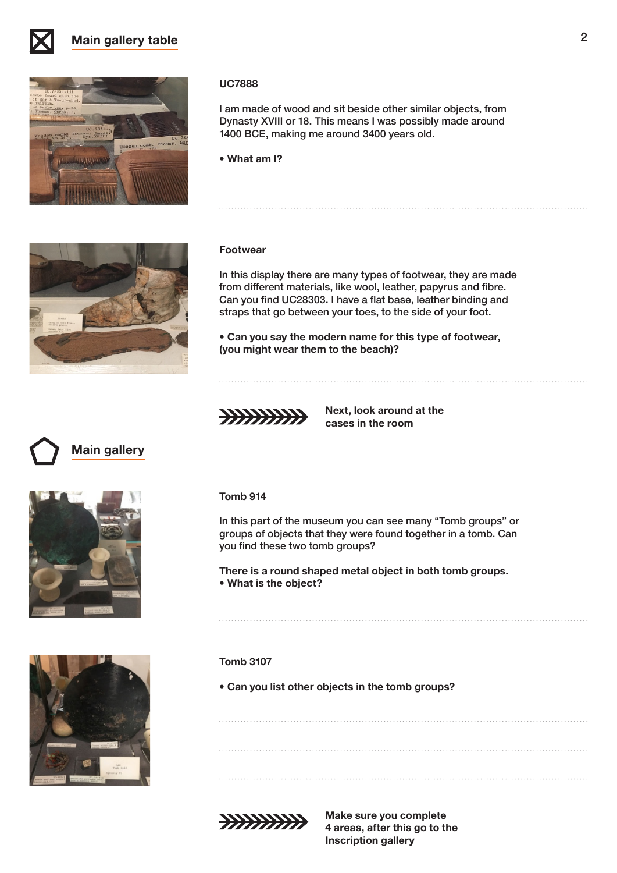

# **Main gallery table** 2



#### **UC7888**

I am made of wood and sit beside other similar objects, from Dynasty XVIII or 18. This means I was possibly made around 1400 BCE, making me around 3400 years old.

• **What am I?** 



#### **Footwear**

In this display there are many types of footwear, they are made from different materials, like wool, leather, papyrus and fibre. Can you find UC28303. I have a flat base, leather binding and straps that go between your toes, to the side of your foot.

• **Can you say the modern name for this type of footwear, (you might wear them to the beach)?**



**Next, look around at the cases in the room**

# **Main gallery**





### **Tomb 914**

In this part of the museum you can see many "Tomb groups" or groups of objects that they were found together in a tomb. Can you find these two tomb groups?

**There is a round shaped metal object in both tomb groups.**  • **What is the object?**

#### **Tomb 3107**

• **Can you list other objects in the tomb groups?**



**Make sure you complete 4 areas, after this go to the Inscription gallery**